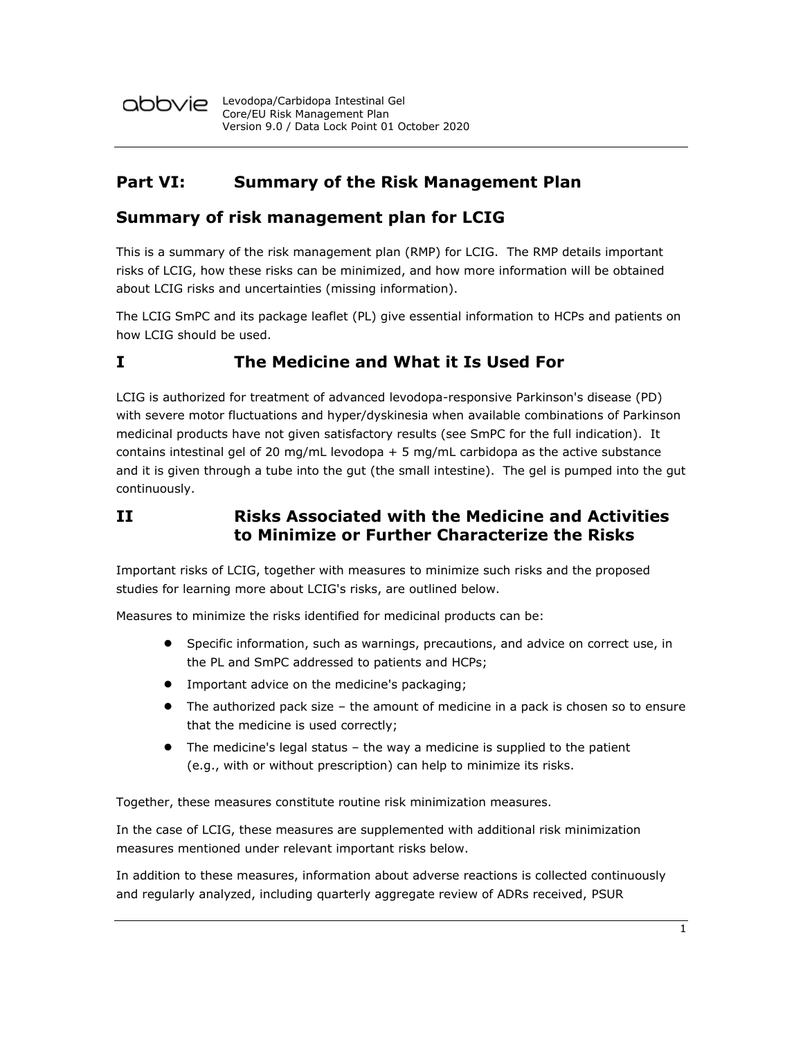

### **Part VI: Summary of the Risk Management Plan**

### **Summary of risk management plan for LCIG**

This is a summary of the risk management plan (RMP) for LCIG. The RMP details important risks of LCIG, how these risks can be minimized, and how more information will be obtained about LCIG risks and uncertainties (missing information).

The LCIG SmPC and its package leaflet (PL) give essential information to HCPs and patients on how LCIG should be used.

## **I The Medicine and What it Is Used For**

LCIG is authorized for treatment of advanced levodopa-responsive Parkinson's disease (PD) with severe motor fluctuations and hyper/dyskinesia when available combinations of Parkinson medicinal products have not given satisfactory results (see SmPC for the full indication). It contains intestinal gel of 20 mg/mL levodopa  $+5$  mg/mL carbidopa as the active substance and it is given through a tube into the gut (the small intestine). The gel is pumped into the gut continuously.

### **II Risks Associated with the Medicine and Activities to Minimize or Further Characterize the Risks**

Important risks of LCIG, together with measures to minimize such risks and the proposed studies for learning more about LCIG's risks, are outlined below.

Measures to minimize the risks identified for medicinal products can be:

- Specific information, such as warnings, precautions, and advice on correct use, in the PL and SmPC addressed to patients and HCPs;
- Important advice on the medicine's packaging;
- The authorized pack size the amount of medicine in a pack is chosen so to ensure that the medicine is used correctly;
- The medicine's legal status the way a medicine is supplied to the patient (e.g., with or without prescription) can help to minimize its risks.

Together, these measures constitute routine risk minimization measures.

In the case of LCIG, these measures are supplemented with additional risk minimization measures mentioned under relevant important risks below.

In addition to these measures, information about adverse reactions is collected continuously and regularly analyzed, including quarterly aggregate review of ADRs received, PSUR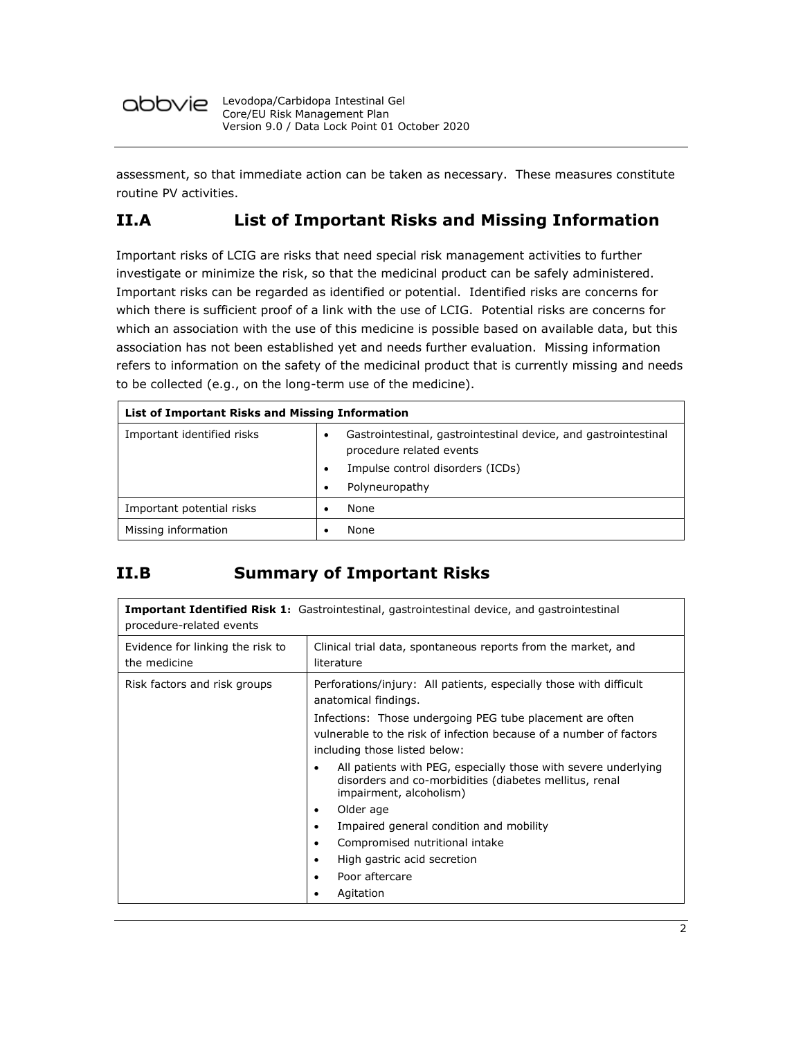

assessment, so that immediate action can be taken as necessary. These measures constitute routine PV activities.

# **II.A List of Important Risks and Missing Information**

Important risks of LCIG are risks that need special risk management activities to further investigate or minimize the risk, so that the medicinal product can be safely administered. Important risks can be regarded as identified or potential. Identified risks are concerns for which there is sufficient proof of a link with the use of LCIG. Potential risks are concerns for which an association with the use of this medicine is possible based on available data, but this association has not been established yet and needs further evaluation. Missing information refers to information on the safety of the medicinal product that is currently missing and needs to be collected (e.g., on the long-term use of the medicine).

| List of Important Risks and Missing Information |                                                                                             |  |
|-------------------------------------------------|---------------------------------------------------------------------------------------------|--|
| Important identified risks                      | Gastrointestinal, gastrointestinal device, and gastrointestinal<br>procedure related events |  |
|                                                 | Impulse control disorders (ICDs)                                                            |  |
|                                                 | Polyneuropathy<br>$\bullet$                                                                 |  |
| Important potential risks                       | None                                                                                        |  |
| Missing information                             | None                                                                                        |  |

# **II.B Summary of Important Risks**

| <b>Important Identified Risk 1:</b> Gastrointestinal, gastrointestinal device, and gastrointestinal<br>procedure-related events |                                                                                                                                                                  |  |
|---------------------------------------------------------------------------------------------------------------------------------|------------------------------------------------------------------------------------------------------------------------------------------------------------------|--|
| Evidence for linking the risk to<br>the medicine                                                                                | Clinical trial data, spontaneous reports from the market, and<br>literature                                                                                      |  |
| Risk factors and risk groups                                                                                                    | Perforations/injury: All patients, especially those with difficult<br>anatomical findings.                                                                       |  |
|                                                                                                                                 | Infections: Those undergoing PEG tube placement are often<br>vulnerable to the risk of infection because of a number of factors<br>including those listed below: |  |
|                                                                                                                                 | All patients with PEG, especially those with severe underlying<br>disorders and co-morbidities (diabetes mellitus, renal<br>impairment, alcoholism)              |  |
|                                                                                                                                 | Older age<br>$\bullet$                                                                                                                                           |  |
|                                                                                                                                 | Impaired general condition and mobility<br>٠                                                                                                                     |  |
|                                                                                                                                 | Compromised nutritional intake                                                                                                                                   |  |
|                                                                                                                                 | High gastric acid secretion<br>$\bullet$                                                                                                                         |  |
|                                                                                                                                 | Poor aftercare                                                                                                                                                   |  |
|                                                                                                                                 | Agitation                                                                                                                                                        |  |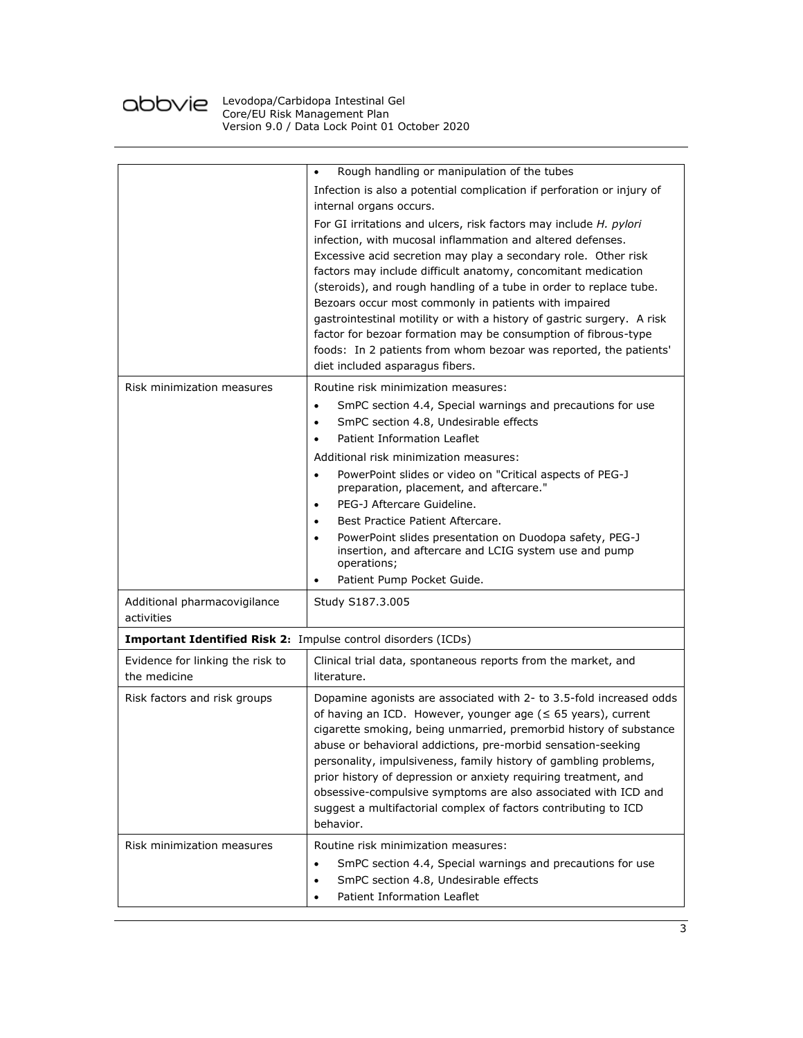

|                                                                      | Rough handling or manipulation of the tubes<br>٠                                                                                                                                                                                                                                                                                                                                                                                                                                                                                                                                                                                                      |  |
|----------------------------------------------------------------------|-------------------------------------------------------------------------------------------------------------------------------------------------------------------------------------------------------------------------------------------------------------------------------------------------------------------------------------------------------------------------------------------------------------------------------------------------------------------------------------------------------------------------------------------------------------------------------------------------------------------------------------------------------|--|
|                                                                      | Infection is also a potential complication if perforation or injury of<br>internal organs occurs.                                                                                                                                                                                                                                                                                                                                                                                                                                                                                                                                                     |  |
|                                                                      | For GI irritations and ulcers, risk factors may include H. pylori<br>infection, with mucosal inflammation and altered defenses.<br>Excessive acid secretion may play a secondary role. Other risk<br>factors may include difficult anatomy, concomitant medication<br>(steroids), and rough handling of a tube in order to replace tube.<br>Bezoars occur most commonly in patients with impaired<br>gastrointestinal motility or with a history of gastric surgery. A risk<br>factor for bezoar formation may be consumption of fibrous-type<br>foods: In 2 patients from whom bezoar was reported, the patients'<br>diet included asparagus fibers. |  |
| Risk minimization measures                                           | Routine risk minimization measures:<br>SmPC section 4.4, Special warnings and precautions for use<br>SmPC section 4.8, Undesirable effects<br>٠<br>Patient Information Leaflet                                                                                                                                                                                                                                                                                                                                                                                                                                                                        |  |
|                                                                      |                                                                                                                                                                                                                                                                                                                                                                                                                                                                                                                                                                                                                                                       |  |
|                                                                      | Additional risk minimization measures:<br>PowerPoint slides or video on "Critical aspects of PEG-J<br>$\bullet$                                                                                                                                                                                                                                                                                                                                                                                                                                                                                                                                       |  |
|                                                                      | preparation, placement, and aftercare."                                                                                                                                                                                                                                                                                                                                                                                                                                                                                                                                                                                                               |  |
|                                                                      | PEG-J Aftercare Guideline.<br>$\bullet$                                                                                                                                                                                                                                                                                                                                                                                                                                                                                                                                                                                                               |  |
|                                                                      | Best Practice Patient Aftercare.<br>٠                                                                                                                                                                                                                                                                                                                                                                                                                                                                                                                                                                                                                 |  |
|                                                                      | PowerPoint slides presentation on Duodopa safety, PEG-J<br>insertion, and aftercare and LCIG system use and pump<br>operations;                                                                                                                                                                                                                                                                                                                                                                                                                                                                                                                       |  |
|                                                                      | Patient Pump Pocket Guide.                                                                                                                                                                                                                                                                                                                                                                                                                                                                                                                                                                                                                            |  |
| Additional pharmacovigilance<br>activities                           | Study S187.3.005                                                                                                                                                                                                                                                                                                                                                                                                                                                                                                                                                                                                                                      |  |
| <b>Important Identified Risk 2:</b> Impulse control disorders (ICDs) |                                                                                                                                                                                                                                                                                                                                                                                                                                                                                                                                                                                                                                                       |  |
| Evidence for linking the risk to<br>the medicine                     | Clinical trial data, spontaneous reports from the market, and<br>literature.                                                                                                                                                                                                                                                                                                                                                                                                                                                                                                                                                                          |  |
| Risk factors and risk groups                                         | Dopamine agonists are associated with 2- to 3.5-fold increased odds<br>of having an ICD. However, younger age ( $\leq$ 65 years), current<br>cigarette smoking, being unmarried, premorbid history of substance<br>abuse or behavioral addictions, pre-morbid sensation-seeking<br>personality, impulsiveness, family history of gambling problems,<br>prior history of depression or anxiety requiring treatment, and<br>obsessive-compulsive symptoms are also associated with ICD and<br>suggest a multifactorial complex of factors contributing to ICD<br>behavior.                                                                              |  |
| Risk minimization measures                                           | Routine risk minimization measures:<br>SmPC section 4.4, Special warnings and precautions for use<br>$\bullet$<br>SmPC section 4.8, Undesirable effects<br>$\bullet$<br>Patient Information Leaflet<br>٠                                                                                                                                                                                                                                                                                                                                                                                                                                              |  |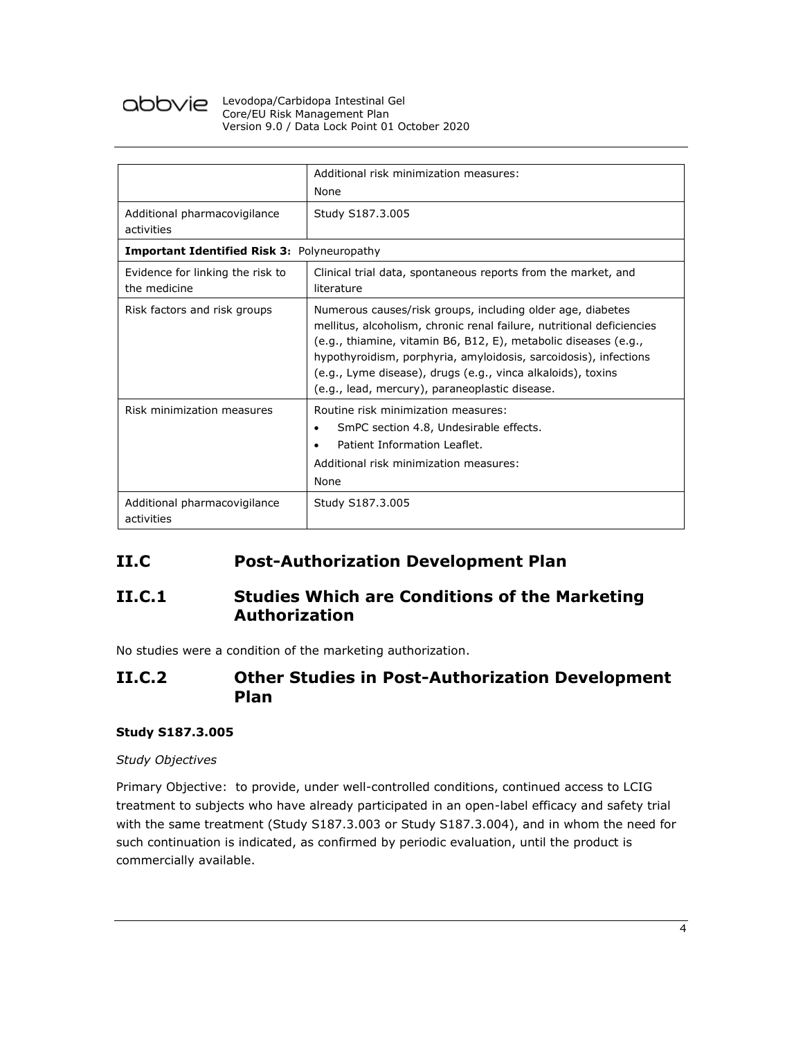

### Levodopa/Carbidopa Intestinal Gel Core/EU Risk Management Plan Version 9.0 / Data Lock Point 01 October 2020

|                                                    | Additional risk minimization measures:                                                                                                                                                                                                                                                                                                                                                      |  |
|----------------------------------------------------|---------------------------------------------------------------------------------------------------------------------------------------------------------------------------------------------------------------------------------------------------------------------------------------------------------------------------------------------------------------------------------------------|--|
|                                                    | None                                                                                                                                                                                                                                                                                                                                                                                        |  |
| Additional pharmacovigilance<br>activities         | Study S187.3.005                                                                                                                                                                                                                                                                                                                                                                            |  |
| <b>Important Identified Risk 3: Polyneuropathy</b> |                                                                                                                                                                                                                                                                                                                                                                                             |  |
| Evidence for linking the risk to<br>the medicine   | Clinical trial data, spontaneous reports from the market, and<br>literature                                                                                                                                                                                                                                                                                                                 |  |
| Risk factors and risk groups                       | Numerous causes/risk groups, including older age, diabetes<br>mellitus, alcoholism, chronic renal failure, nutritional deficiencies<br>(e.g., thiamine, vitamin B6, B12, E), metabolic diseases (e.g.,<br>hypothyroidism, porphyria, amyloidosis, sarcoidosis), infections<br>(e.g., Lyme disease), drugs (e.g., vinca alkaloids), toxins<br>(e.g., lead, mercury), paraneoplastic disease. |  |
| Risk minimization measures                         | Routine risk minimization measures:<br>SmPC section 4.8, Undesirable effects.<br>٠<br>Patient Information Leaflet.<br>Additional risk minimization measures:<br>None                                                                                                                                                                                                                        |  |
| Additional pharmacovigilance<br>activities         | Study S187.3.005                                                                                                                                                                                                                                                                                                                                                                            |  |

## **II.C Post-Authorization Development Plan**

### **II.C.1 Studies Which are Conditions of the Marketing Authorization**

No studies were a condition of the marketing authorization.

### **II.C.2 Other Studies in Post-Authorization Development Plan**

### **Study S187.3.005**

### *Study Objectives*

Primary Objective: to provide, under well-controlled conditions, continued access to LCIG treatment to subjects who have already participated in an open-label efficacy and safety trial with the same treatment (Study S187.3.003 or Study S187.3.004), and in whom the need for such continuation is indicated, as confirmed by periodic evaluation, until the product is commercially available.